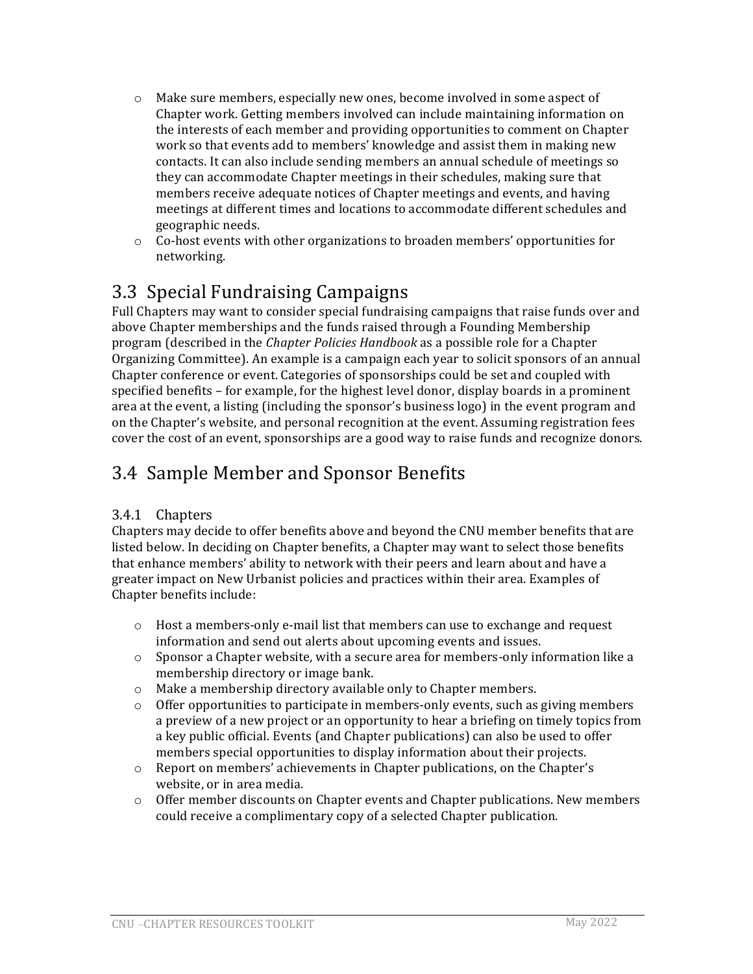- $\circ$  Make sure members, especially new ones, become involved in some aspect of Chapter work. Getting members involved can include maintaining information on the interests of each member and providing opportunities to comment on Chapter work so that events add to members' knowledge and assist them in making new contacts. It can also include sending members an annual schedule of meetings so they can accommodate Chapter meetings in their schedules, making sure that members receive adequate notices of Chapter meetings and events, and having meetings at different times and locations to accommodate different schedules and geographic needs.
- $\circ$  Co-host events with other organizations to broaden members' opportunities for networking.

# 3.3 Special Fundraising Campaigns

Full Chapters may want to consider special fundraising campaigns that raise funds over and above Chapter memberships and the funds raised through a Founding Membership program (described in the *Chapter Policies Handbook* as a possible role for a Chapter Organizing Committee). An example is a campaign each year to solicit sponsors of an annual Chapter conference or event. Categories of sponsorships could be set and coupled with specified benefits – for example, for the highest level donor, display boards in a prominent area at the event, a listing (including the sponsor's business logo) in the event program and on the Chapter's website, and personal recognition at the event. Assuming registration fees cover the cost of an event, sponsorships are a good way to raise funds and recognize donors.

# 3.4 Sample Member and Sponsor Benefits

### 3.4.1 Chapters

Chapters may decide to offer benefits above and beyond the CNU member benefits that are listed below. In deciding on Chapter benefits, a Chapter may want to select those benefits that enhance members' ability to network with their peers and learn about and have a greater impact on New Urbanist policies and practices within their area. Examples of Chapter benefits include:

- $\circ$  Host a members-only e-mail list that members can use to exchange and request information and send out alerts about upcoming events and issues.
- $\circ$  Sponsor a Chapter website, with a secure area for members-only information like a membership directory or image bank.
- o Make a membership directory available only to Chapter members.
- $\circ$  Offer opportunities to participate in members-only events, such as giving members a preview of a new project or an opportunity to hear a briefing on timely topics from a key public official. Events (and Chapter publications) can also be used to offer members special opportunities to display information about their projects.
- $\circ$  Report on members' achievements in Chapter publications, on the Chapter's website, or in area media.
- $\circ$  Offer member discounts on Chapter events and Chapter publications. New members could receive a complimentary copy of a selected Chapter publication.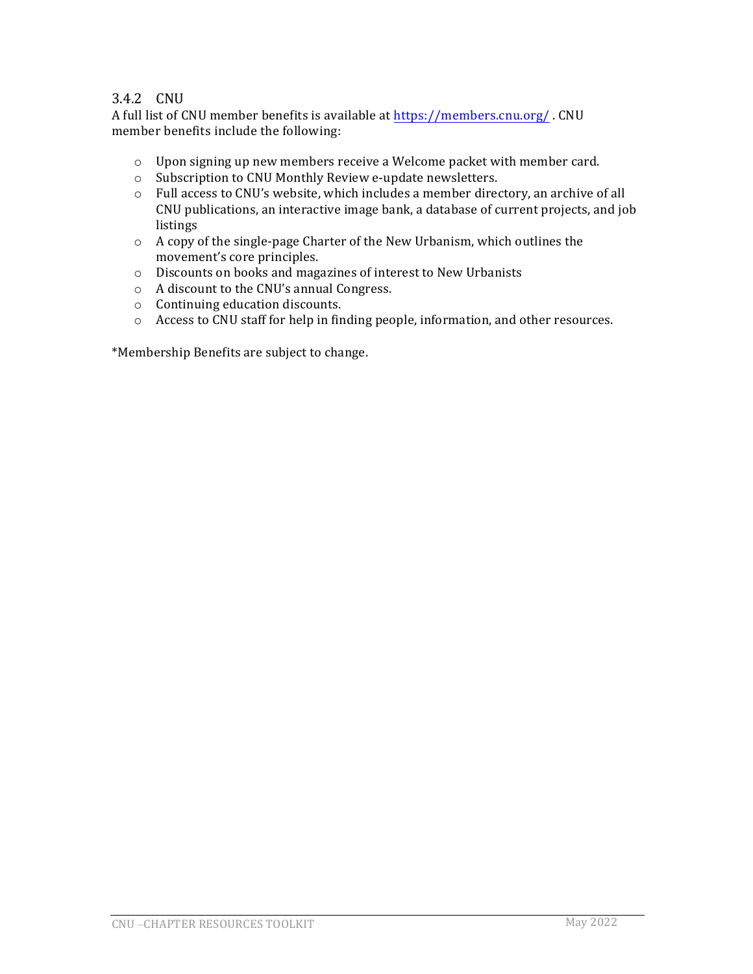### 3.4.2 CNU

A full list of CNU member benefits is available at https://members.cnu.org/. CNU member benefits include the following:

- $\circ$  Upon signing up new members receive a Welcome packet with member card.
- o Subscription to CNU Monthly Review e-update newsletters.
- $\circ$  Full access to CNU's website, which includes a member directory, an archive of all CNU publications, an interactive image bank, a database of current projects, and job listings
- $\circ$  A copy of the single-page Charter of the New Urbanism, which outlines the movement's core principles.
- $\circ$  Discounts on books and magazines of interest to New Urbanists
- $\circ$  A discount to the CNU's annual Congress.
- o Continuing education discounts.
- o Access to CNU staff for help in finding people, information, and other resources.

\*Membership Benefits are subject to change.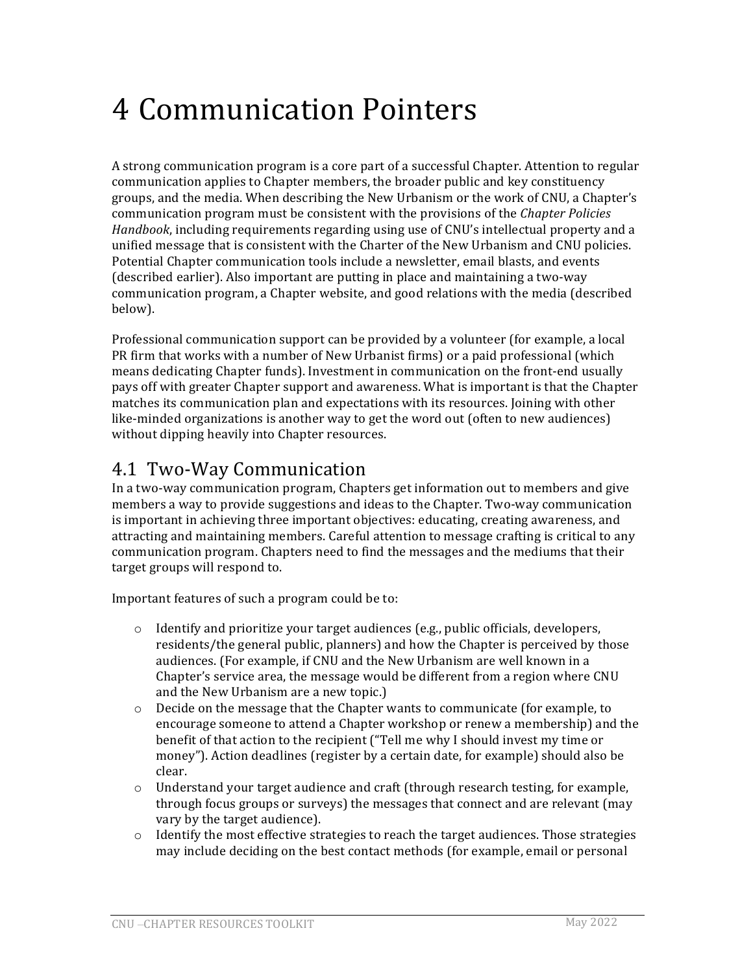# 4 Communication Pointers

A strong communication program is a core part of a successful Chapter. Attention to regular communication applies to Chapter members, the broader public and key constituency groups, and the media. When describing the New Urbanism or the work of CNU, a Chapter's communication program must be consistent with the provisions of the *Chapter Policies Handbook*, including requirements regarding using use of CNU's intellectual property and a unified message that is consistent with the Charter of the New Urbanism and CNU policies. Potential Chapter communication tools include a newsletter, email blasts, and events (described earlier). Also important are putting in place and maintaining a two-way communication program, a Chapter website, and good relations with the media (described below). 

Professional communication support can be provided by a volunteer (for example, a local PR firm that works with a number of New Urbanist firms) or a paid professional (which means dedicating Chapter funds). Investment in communication on the front-end usually pays off with greater Chapter support and awareness. What is important is that the Chapter matches its communication plan and expectations with its resources. Joining with other like-minded organizations is another way to get the word out (often to new audiences) without dipping heavily into Chapter resources.

### 4.1 Two-Way Communication

In a two-way communication program, Chapters get information out to members and give members a way to provide suggestions and ideas to the Chapter. Two-way communication is important in achieving three important objectives: educating, creating awareness, and attracting and maintaining members. Careful attention to message crafting is critical to any communication program. Chapters need to find the messages and the mediums that their target groups will respond to.

Important features of such a program could be to:

- $\circ$  Identify and prioritize your target audiences (e.g., public officials, developers, residents/the general public, planners) and how the Chapter is perceived by those audiences. (For example, if CNU and the New Urbanism are well known in a Chapter's service area, the message would be different from a region where CNU and the New Urbanism are a new topic.)
- $\circ$  Decide on the message that the Chapter wants to communicate (for example, to encourage someone to attend a Chapter workshop or renew a membership) and the benefit of that action to the recipient ("Tell me why I should invest my time or money"). Action deadlines (register by a certain date, for example) should also be clear.
- $\circ$  Understand your target audience and craft (through research testing, for example, through focus groups or surveys) the messages that connect and are relevant (may vary by the target audience).
- $\circ$  Identify the most effective strategies to reach the target audiences. Those strategies may include deciding on the best contact methods (for example, email or personal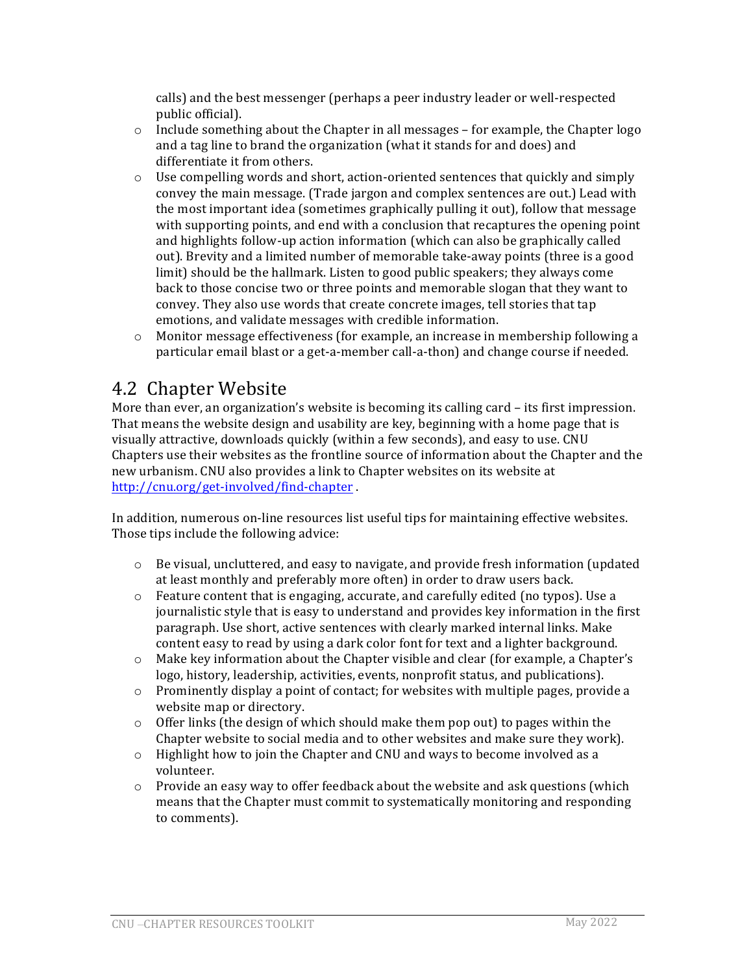calls) and the best messenger (perhaps a peer industry leader or well-respected public official).

- $\circ$  Include something about the Chapter in all messages for example, the Chapter logo and a tag line to brand the organization (what it stands for and does) and differentiate it from others.
- $\circ$  Use compelling words and short, action-oriented sentences that quickly and simply convey the main message. (Trade jargon and complex sentences are out.) Lead with the most important idea (sometimes graphically pulling it out), follow that message with supporting points, and end with a conclusion that recaptures the opening point and highlights follow-up action information (which can also be graphically called out). Brevity and a limited number of memorable take-away points (three is a good limit) should be the hallmark. Listen to good public speakers; they always come back to those concise two or three points and memorable slogan that they want to convey. They also use words that create concrete images, tell stories that tap emotions, and validate messages with credible information.
- $\circ$  Monitor message effectiveness (for example, an increase in membership following a particular email blast or a get-a-member call-a-thon) and change course if needed.

### 4.2 Chapter Website

More than ever, an organization's website is becoming its calling  $card - its first impression$ . That means the website design and usability are key, beginning with a home page that is visually attractive, downloads quickly (within a few seconds), and easy to use. CNU Chapters use their websites as the frontline source of information about the Chapter and the new urbanism. CNU also provides a link to Chapter websites on its website at http://cnu.org/get-involved/find-chapter .

In addition, numerous on-line resources list useful tips for maintaining effective websites. Those tips include the following advice:

- $\circ$  Be visual, uncluttered, and easy to navigate, and provide fresh information (updated at least monthly and preferably more often) in order to draw users back.
- $\circ$  Feature content that is engaging, accurate, and carefully edited (no typos). Use a journalistic style that is easy to understand and provides key information in the first paragraph. Use short, active sentences with clearly marked internal links. Make content easy to read by using a dark color font for text and a lighter background.
- $\circ$  Make key information about the Chapter visible and clear (for example, a Chapter's logo, history, leadership, activities, events, nonprofit status, and publications).
- $\circ$  Prominently display a point of contact; for websites with multiple pages, provide a website map or directory.
- $\circ$  Offer links (the design of which should make them pop out) to pages within the Chapter website to social media and to other websites and make sure they work).
- $\circ$  Highlight how to join the Chapter and CNU and ways to become involved as a volunteer.
- $\circ$  Provide an easy way to offer feedback about the website and ask questions (which means that the Chapter must commit to systematically monitoring and responding to comments).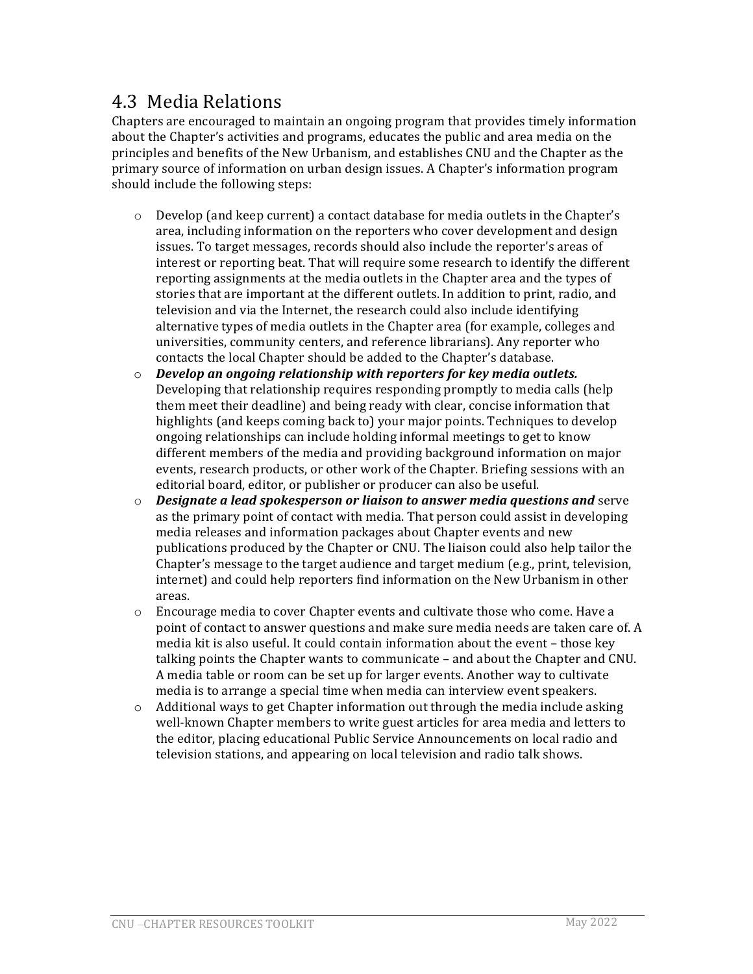## 4.3 Media Relations

Chapters are encouraged to maintain an ongoing program that provides timely information about the Chapter's activities and programs, educates the public and area media on the principles and benefits of the New Urbanism, and establishes CNU and the Chapter as the primary source of information on urban design issues. A Chapter's information program should include the following steps:

- $\circ$  Develop (and keep current) a contact database for media outlets in the Chapter's area, including information on the reporters who cover development and design issues. To target messages, records should also include the reporter's areas of interest or reporting beat. That will require some research to identify the different reporting assignments at the media outlets in the Chapter area and the types of stories that are important at the different outlets. In addition to print, radio, and television and via the Internet, the research could also include identifying alternative types of media outlets in the Chapter area (for example, colleges and universities, community centers, and reference librarians). Any reporter who contacts the local Chapter should be added to the Chapter's database.
- $\circ$  *Develop an ongoing relationship with reporters for key media outlets.* Developing that relationship requires responding promptly to media calls (help them meet their deadline) and being ready with clear, concise information that highlights (and keeps coming back to) your major points. Techniques to develop ongoing relationships can include holding informal meetings to get to know different members of the media and providing background information on major events, research products, or other work of the Chapter. Briefing sessions with an editorial board, editor, or publisher or producer can also be useful.
- o *Designate a lead spokesperson or liaison to answer media questions and serve* as the primary point of contact with media. That person could assist in developing media releases and information packages about Chapter events and new publications produced by the Chapter or CNU. The liaison could also help tailor the Chapter's message to the target audience and target medium  $(e.g., print, television,$ internet) and could help reporters find information on the New Urbanism in other areas.
- $\circ$  Encourage media to cover Chapter events and cultivate those who come. Have a point of contact to answer questions and make sure media needs are taken care of. A media kit is also useful. It could contain information about the event - those key talking points the Chapter wants to communicate  $-$  and about the Chapter and CNU. A media table or room can be set up for larger events. Another way to cultivate media is to arrange a special time when media can interview event speakers.
- $\circ$  Additional ways to get Chapter information out through the media include asking well-known Chapter members to write guest articles for area media and letters to the editor, placing educational Public Service Announcements on local radio and television stations, and appearing on local television and radio talk shows.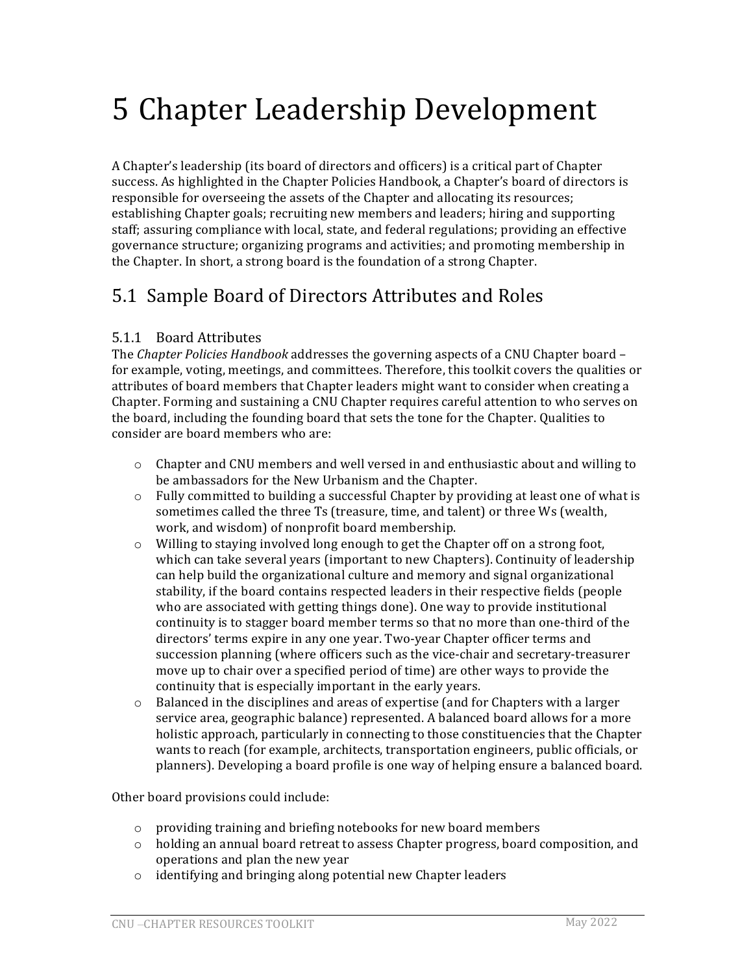# 5 Chapter Leadership Development

A Chapter's leadership (its board of directors and officers) is a critical part of Chapter success. As highlighted in the Chapter Policies Handbook, a Chapter's board of directors is responsible for overseeing the assets of the Chapter and allocating its resources; establishing Chapter goals; recruiting new members and leaders; hiring and supporting staff; assuring compliance with local, state, and federal regulations; providing an effective governance structure; organizing programs and activities; and promoting membership in the Chapter. In short, a strong board is the foundation of a strong Chapter.

## 5.1 Sample Board of Directors Attributes and Roles

#### 5.1.1 Board Attributes

The *Chapter Policies Handbook* addresses the governing aspects of a CNU Chapter board – for example, voting, meetings, and committees. Therefore, this toolkit covers the qualities or attributes of board members that Chapter leaders might want to consider when creating a Chapter. Forming and sustaining a CNU Chapter requires careful attention to who serves on the board, including the founding board that sets the tone for the Chapter. Qualities to consider are board members who are:

- $\circ$  Chapter and CNU members and well versed in and enthusiastic about and willing to be ambassadors for the New Urbanism and the Chapter.
- $\circ$  Fully committed to building a successful Chapter by providing at least one of what is sometimes called the three Ts (treasure, time, and talent) or three Ws (wealth, work, and wisdom) of nonprofit board membership.
- $\circ$  Willing to staying involved long enough to get the Chapter off on a strong foot, which can take several years (important to new Chapters). Continuity of leadership can help build the organizational culture and memory and signal organizational stability, if the board contains respected leaders in their respective fields (people who are associated with getting things done). One way to provide institutional continuity is to stagger board member terms so that no more than one-third of the directors' terms expire in any one year. Two-year Chapter officer terms and succession planning (where officers such as the vice-chair and secretary-treasurer move up to chair over a specified period of time) are other ways to provide the continuity that is especially important in the early years.
- $\circ$  Balanced in the disciplines and areas of expertise (and for Chapters with a larger service area, geographic balance) represented. A balanced board allows for a more holistic approach, particularly in connecting to those constituencies that the Chapter wants to reach (for example, architects, transportation engineers, public officials, or planners). Developing a board profile is one way of helping ensure a balanced board.

Other board provisions could include:

- $\circ$  providing training and briefing notebooks for new board members
- $\circ$  holding an annual board retreat to assess Chapter progress, board composition, and operations and plan the new year
- $\circ$  identifying and bringing along potential new Chapter leaders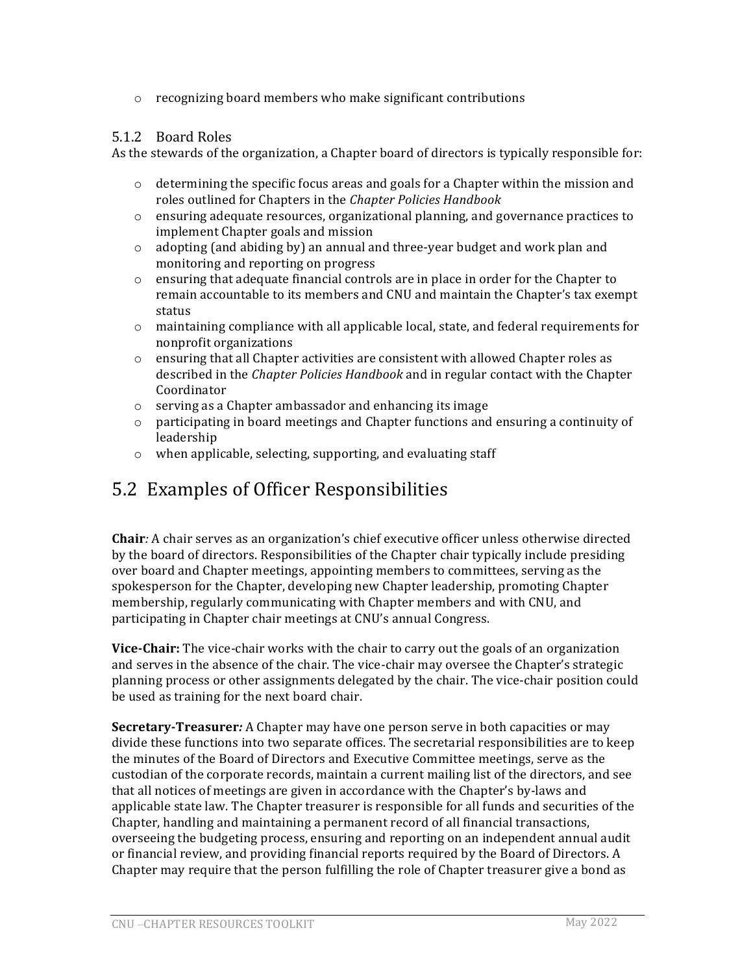$\circ$  recognizing board members who make significant contributions

#### 5.1.2 Board Roles

As the stewards of the organization, a Chapter board of directors is typically responsible for:

- $\circ$  determining the specific focus areas and goals for a Chapter within the mission and roles outlined for Chapters in the *Chapter Policies Handbook*
- $\circ$  ensuring adequate resources, organizational planning, and governance practices to implement Chapter goals and mission
- $\circ$  adopting (and abiding by) an annual and three-year budget and work plan and monitoring and reporting on progress
- $\circ$  ensuring that adequate financial controls are in place in order for the Chapter to remain accountable to its members and CNU and maintain the Chapter's tax exempt status
- $\circ$  maintaining compliance with all applicable local, state, and federal requirements for nonprofit organizations
- $\circ$  ensuring that all Chapter activities are consistent with allowed Chapter roles as described in the *Chapter Policies Handbook* and in regular contact with the Chapter Coordinator
- $\circ$  serving as a Chapter ambassador and enhancing its image
- $\circ$  participating in board meetings and Chapter functions and ensuring a continuity of leadership
- $\circ$  when applicable, selecting, supporting, and evaluating staff

## 5.2 Examples of Officer Responsibilities

**Chair**: A chair serves as an organization's chief executive officer unless otherwise directed by the board of directors. Responsibilities of the Chapter chair typically include presiding over board and Chapter meetings, appointing members to committees, serving as the spokesperson for the Chapter, developing new Chapter leadership, promoting Chapter membership, regularly communicating with Chapter members and with CNU, and participating in Chapter chair meetings at CNU's annual Congress.

**Vice-Chair:** The vice-chair works with the chair to carry out the goals of an organization and serves in the absence of the chair. The vice-chair may oversee the Chapter's strategic planning process or other assignments delegated by the chair. The vice-chair position could be used as training for the next board chair.

**Secretary-Treasurer**: A Chapter may have one person serve in both capacities or may divide these functions into two separate offices. The secretarial responsibilities are to keep the minutes of the Board of Directors and Executive Committee meetings, serve as the custodian of the corporate records, maintain a current mailing list of the directors, and see that all notices of meetings are given in accordance with the Chapter's by-laws and applicable state law. The Chapter treasurer is responsible for all funds and securities of the Chapter, handling and maintaining a permanent record of all financial transactions, overseeing the budgeting process, ensuring and reporting on an independent annual audit or financial review, and providing financial reports required by the Board of Directors. A Chapter may require that the person fulfilling the role of Chapter treasurer give a bond as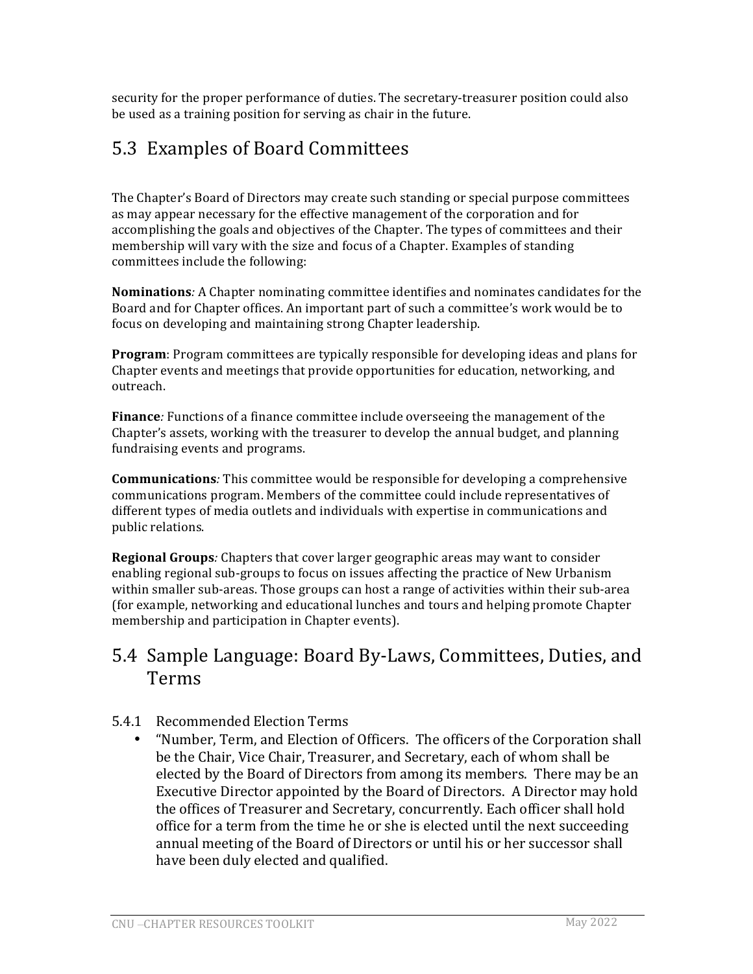security for the proper performance of duties. The secretary-treasurer position could also be used as a training position for serving as chair in the future.

# 5.3 Examples of Board Committees

The Chapter's Board of Directors may create such standing or special purpose committees as may appear necessary for the effective management of the corporation and for accomplishing the goals and objectives of the Chapter. The types of committees and their membership will vary with the size and focus of a Chapter. Examples of standing committees include the following:

**Nominations**: A Chapter nominating committee identifies and nominates candidates for the Board and for Chapter offices. An important part of such a committee's work would be to focus on developing and maintaining strong Chapter leadership.

**Program**: Program committees are typically responsible for developing ideas and plans for Chapter events and meetings that provide opportunities for education, networking, and outreach.

**Finance**: Functions of a finance committee include overseeing the management of the Chapter's assets, working with the treasurer to develop the annual budget, and planning fundraising events and programs.

**Communications**: This committee would be responsible for developing a comprehensive communications program. Members of the committee could include representatives of different types of media outlets and individuals with expertise in communications and public relations.

**Regional Groups**: Chapters that cover larger geographic areas may want to consider enabling regional sub-groups to focus on issues affecting the practice of New Urbanism within smaller sub-areas. Those groups can host a range of activities within their sub-area (for example, networking and educational lunches and tours and helping promote Chapter membership and participation in Chapter events).

## 5.4 Sample Language: Board By-Laws, Committees, Duties, and Terms

### 5.4.1 Recommended Election Terms

"Number, Term, and Election of Officers. The officers of the Corporation shall be the Chair, Vice Chair, Treasurer, and Secretary, each of whom shall be elected by the Board of Directors from among its members. There may be an Executive Director appointed by the Board of Directors. A Director may hold the offices of Treasurer and Secretary, concurrently. Each officer shall hold office for a term from the time he or she is elected until the next succeeding annual meeting of the Board of Directors or until his or her successor shall have been duly elected and qualified.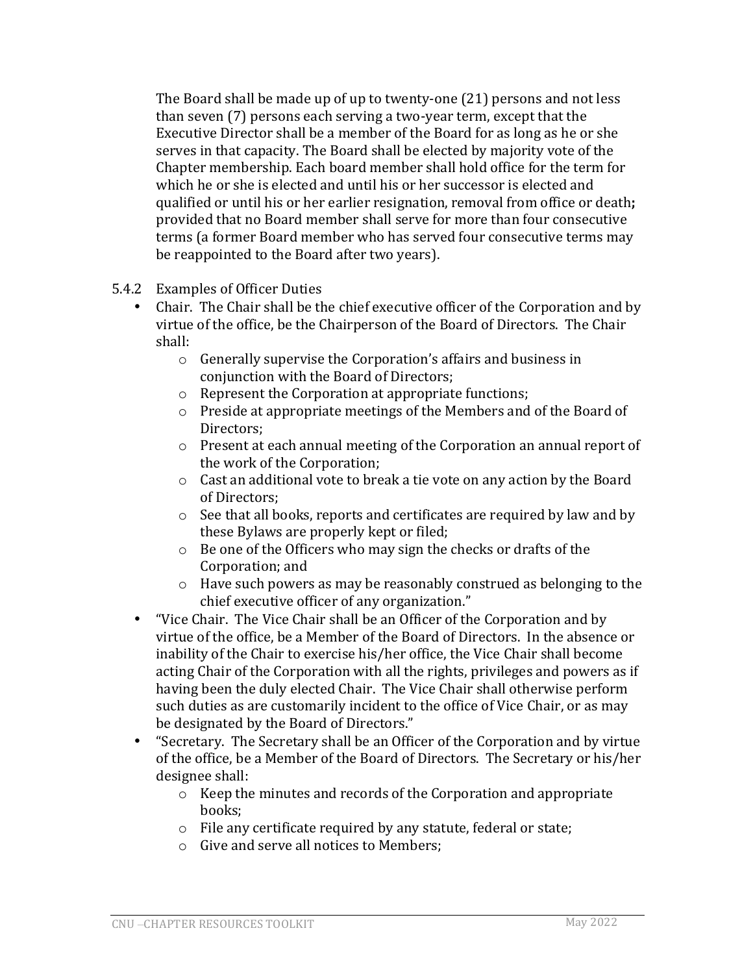The Board shall be made up of up to twenty-one  $(21)$  persons and not less than seven (7) persons each serving a two-year term, except that the Executive Director shall be a member of the Board for as long as he or she serves in that capacity. The Board shall be elected by majority vote of the Chapter membership. Each board member shall hold office for the term for which he or she is elected and until his or her successor is elected and qualified or until his or her earlier resignation, removal from office or death; provided that no Board member shall serve for more than four consecutive terms (a former Board member who has served four consecutive terms may be reappointed to the Board after two years).

- 5.4.2 Examples of Officer Duties
	- Chair. The Chair shall be the chief executive officer of the Corporation and by virtue of the office, be the Chairperson of the Board of Directors. The Chair shall:
		- $\circ$  Generally supervise the Corporation's affairs and business in conjunction with the Board of Directors;
		- $\circ$  Represent the Corporation at appropriate functions;
		- $\circ$  Preside at appropriate meetings of the Members and of the Board of Directors;
		- $\circ$  Present at each annual meeting of the Corporation an annual report of the work of the Corporation;
		- $\circ$  Cast an additional vote to break a tie vote on any action by the Board of Directors:
		- $\circ$  See that all books, reports and certificates are required by law and by these Bylaws are properly kept or filed;
		- $\circ$  Be one of the Officers who may sign the checks or drafts of the Corporation; and
		- $\circ$  Have such powers as may be reasonably construed as belonging to the chief executive officer of any organization."
	- "Vice Chair. The Vice Chair shall be an Officer of the Corporation and by virtue of the office, be a Member of the Board of Directors. In the absence or inability of the Chair to exercise his/her office, the Vice Chair shall become acting Chair of the Corporation with all the rights, privileges and powers as if having been the duly elected Chair. The Vice Chair shall otherwise perform such duties as are customarily incident to the office of Vice Chair, or as may be designated by the Board of Directors."
	- "Secretary. The Secretary shall be an Officer of the Corporation and by virtue of the office, be a Member of the Board of Directors. The Secretary or his/her designee shall:
		- $\circ$  Keep the minutes and records of the Corporation and appropriate books;
		- $\circ$  File any certificate required by any statute, federal or state;
		- $\circ$  Give and serve all notices to Members;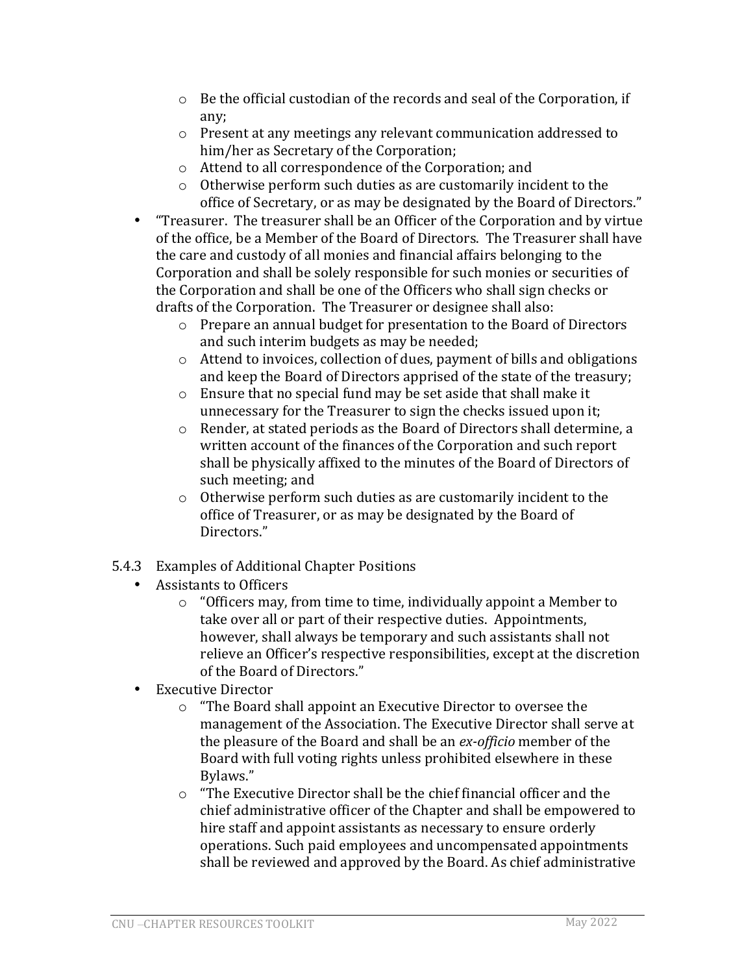- $\circ$  Be the official custodian of the records and seal of the Corporation, if any;
- $\circ$  Present at any meetings any relevant communication addressed to him/her as Secretary of the Corporation;
- $\circ$  Attend to all correspondence of the Corporation; and
- $\circ$  Otherwise perform such duties as are customarily incident to the office of Secretary, or as may be designated by the Board of Directors."
- "Treasurer. The treasurer shall be an Officer of the Corporation and by virtue of the office, be a Member of the Board of Directors. The Treasurer shall have the care and custody of all monies and financial affairs belonging to the Corporation and shall be solely responsible for such monies or securities of the Corporation and shall be one of the Officers who shall sign checks or drafts of the Corporation. The Treasurer or designee shall also:
	- o Prepare an annual budget for presentation to the Board of Directors and such interim budgets as may be needed;
	- $\circ$  Attend to invoices, collection of dues, payment of bills and obligations and keep the Board of Directors apprised of the state of the treasury;
	- $\circ$  Ensure that no special fund may be set aside that shall make it unnecessary for the Treasurer to sign the checks issued upon it;
	- o Render, at stated periods as the Board of Directors shall determine, a written account of the finances of the Corporation and such report shall be physically affixed to the minutes of the Board of Directors of such meeting; and
	- $\circ$  Otherwise perform such duties as are customarily incident to the office of Treasurer, or as may be designated by the Board of Directors."
- 5.4.3 Examples of Additional Chapter Positions
	- Assistants to Officers
		- $\circ$  "Officers may, from time to time, individually appoint a Member to take over all or part of their respective duties. Appointments, however, shall always be temporary and such assistants shall not relieve an Officer's respective responsibilities, except at the discretion of the Board of Directors."
	- Executive Director
		- $\circ$  "The Board shall appoint an Executive Director to oversee the management of the Association. The Executive Director shall serve at the pleasure of the Board and shall be an *ex-officio* member of the Board with full voting rights unless prohibited elsewhere in these Bylaws."
		- $\circ$  "The Executive Director shall be the chief financial officer and the chief administrative officer of the Chapter and shall be empowered to hire staff and appoint assistants as necessary to ensure orderly operations. Such paid employees and uncompensated appointments shall be reviewed and approved by the Board. As chief administrative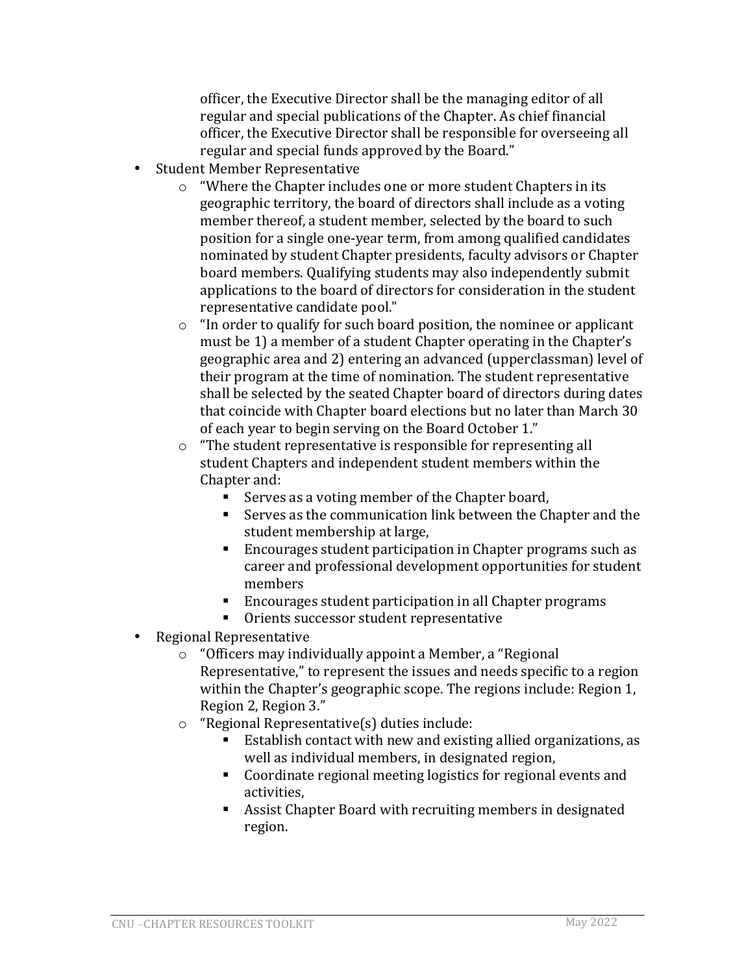officer, the Executive Director shall be the managing editor of all regular and special publications of the Chapter. As chief financial officer, the Executive Director shall be responsible for overseeing all regular and special funds approved by the Board."

- Student Member Representative
	- $\circ$  "Where the Chapter includes one or more student Chapters in its geographic territory, the board of directors shall include as a voting member thereof, a student member, selected by the board to such position for a single one-year term, from among qualified candidates nominated by student Chapter presidents, faculty advisors or Chapter board members. Qualifying students may also independently submit applications to the board of directors for consideration in the student representative candidate pool."
	- $\circ$  "In order to qualify for such board position, the nominee or applicant must be 1) a member of a student Chapter operating in the Chapter's geographic area and 2) entering an advanced (upperclassman) level of their program at the time of nomination. The student representative shall be selected by the seated Chapter board of directors during dates that coincide with Chapter board elections but no later than March 30 of each vear to begin serving on the Board October 1."
	- $\circ$  "The student representative is responsible for representing all student Chapters and independent student members within the Chapter and:
		- Serves as a voting member of the Chapter board,
		- Serves as the communication link between the Chapter and the student membership at large,
		- Encourages student participation in Chapter programs such as career and professional development opportunities for student members
		- Encourages student participation in all Chapter programs
		- Orients successor student representative
- Regional Representative
	- $\circ$  "Officers may individually appoint a Member, a "Regional Representative," to represent the issues and needs specific to a region within the Chapter's geographic scope. The regions include: Region 1, Region 2, Region 3."
	- $\circ$  "Regional Representative(s) duties include:
		- Establish contact with new and existing allied organizations, as well as individual members, in designated region,
		- Coordinate regional meeting logistics for regional events and activities,
		- Assist Chapter Board with recruiting members in designated region.